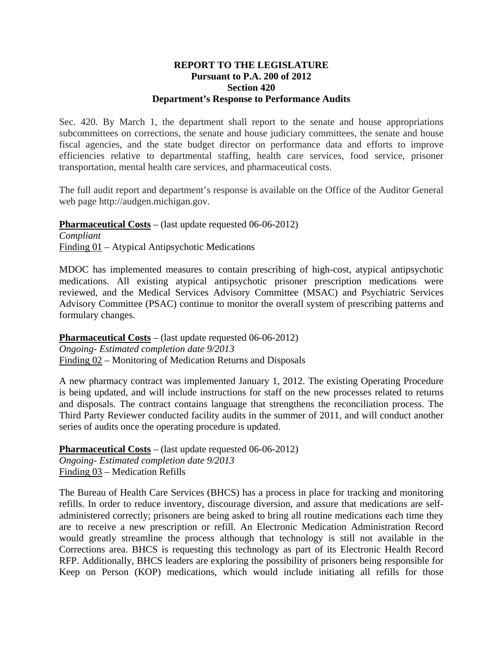## **REPORT TO THE LEGISLATURE Pursuant to P.A. 200 of 2012 Section 420 Department's Response to Performance Audits**

Sec. 420. By March 1, the department shall report to the senate and house appropriations subcommittees on corrections, the senate and house judiciary committees, the senate and house fiscal agencies, and the state budget director on performance data and efforts to improve efficiencies relative to departmental staffing, health care services, food service, prisoner transportation, mental health care services, and pharmaceutical costs.

The full audit report and department's response is available on the Office of the Auditor General web page http://audgen.michigan.gov.

**Pharmaceutical Costs** – (last update requested 06-06-2012) *Compliant*  Finding 01 – Atypical Antipsychotic Medications

MDOC has implemented measures to contain prescribing of high-cost, atypical antipsychotic medications. All existing atypical antipsychotic prisoner prescription medications were reviewed, and the Medical Services Advisory Committee (MSAC) and Psychiatric Services Advisory Committee (PSAC) continue to monitor the overall system of prescribing patterns and formulary changes.

**Pharmaceutical Costs** – (last update requested 06-06-2012) *Ongoing- Estimated completion date 9/2013*  Finding 02 – Monitoring of Medication Returns and Disposals

A new pharmacy contract was implemented January 1, 2012. The existing Operating Procedure is being updated, and will include instructions for staff on the new processes related to returns and disposals. The contract contains language that strengthens the reconciliation process. The Third Party Reviewer conducted facility audits in the summer of 2011, and will conduct another series of audits once the operating procedure is updated.

**Pharmaceutical Costs** – (last update requested 06-06-2012) *Ongoing- Estimated completion date 9/2013*  Finding 03 – Medication Refills

The Bureau of Health Care Services (BHCS) has a process in place for tracking and monitoring refills. In order to reduce inventory, discourage diversion, and assure that medications are selfadministered correctly; prisoners are being asked to bring all routine medications each time they are to receive a new prescription or refill. An Electronic Medication Administration Record would greatly streamline the process although that technology is still not available in the Corrections area. BHCS is requesting this technology as part of its Electronic Health Record RFP. Additionally, BHCS leaders are exploring the possibility of prisoners being responsible for Keep on Person (KOP) medications, which would include initiating all refills for those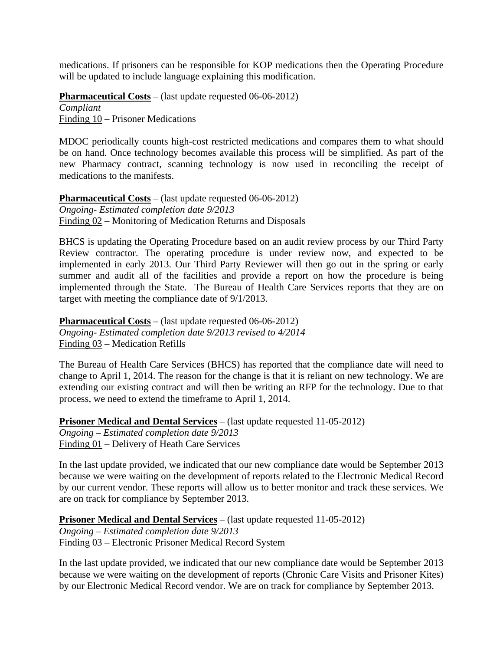medications. If prisoners can be responsible for KOP medications then the Operating Procedure will be updated to include language explaining this modification.

**Pharmaceutical Costs** – (last update requested 06-06-2012) *Compliant*  Finding 10 – Prisoner Medications

MDOC periodically counts high-cost restricted medications and compares them to what should be on hand. Once technology becomes available this process will be simplified. As part of the new Pharmacy contract, scanning technology is now used in reconciling the receipt of medications to the manifests.

**Pharmaceutical Costs** – (last update requested 06-06-2012) *Ongoing- Estimated completion date 9/2013*  Finding 02 – Monitoring of Medication Returns and Disposals

BHCS is updating the Operating Procedure based on an audit review process by our Third Party Review contractor. The operating procedure is under review now, and expected to be implemented in early 2013. Our Third Party Reviewer will then go out in the spring or early summer and audit all of the facilities and provide a report on how the procedure is being implemented through the State. The Bureau of Health Care Services reports that they are on target with meeting the compliance date of 9/1/2013.

**Pharmaceutical Costs** – (last update requested 06-06-2012) *Ongoing- Estimated completion date 9/2013 revised to 4/2014*  Finding 03 – Medication Refills

The Bureau of Health Care Services (BHCS) has reported that the compliance date will need to change to April 1, 2014. The reason for the change is that it is reliant on new technology. We are extending our existing contract and will then be writing an RFP for the technology. Due to that process, we need to extend the timeframe to April 1, 2014.

**Prisoner Medical and Dental Services** – (last update requested 11-05-2012) *Ongoing – Estimated completion date 9/2013*  Finding 01 – Delivery of Heath Care Services

In the last update provided, we indicated that our new compliance date would be September 2013 because we were waiting on the development of reports related to the Electronic Medical Record by our current vendor. These reports will allow us to better monitor and track these services. We are on track for compliance by September 2013.

**Prisoner Medical and Dental Services** – (last update requested 11-05-2012)

*Ongoing – Estimated completion date 9/2013*  Finding 03 – Electronic Prisoner Medical Record System

In the last update provided, we indicated that our new compliance date would be September 2013 because we were waiting on the development of reports (Chronic Care Visits and Prisoner Kites) by our Electronic Medical Record vendor. We are on track for compliance by September 2013.